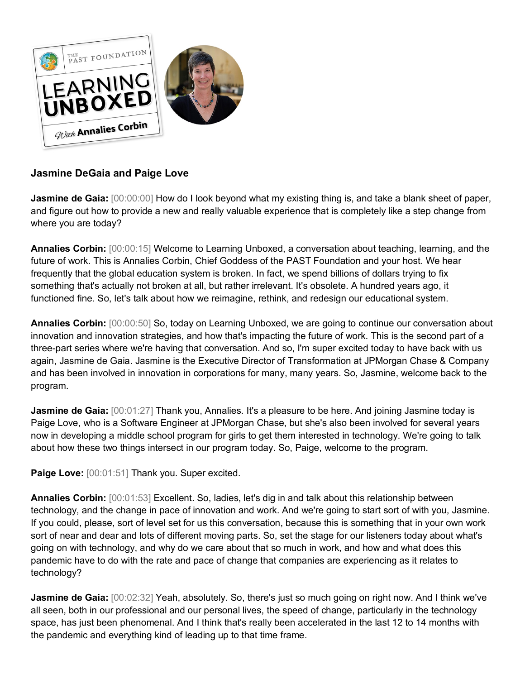

## **Jasmine DeGaia and Paige Love**

**Jasmine de Gaia:**  $[00:00:00]$  How do I look beyond what my existing thing is, and take a blank sheet of paper, and figure out how to provide a new and really valuable experience that is completely like a step change from where you are today?

**Annalies Corbin:** [00:00:15] Welcome to Learning Unboxed, a conversation about teaching, learning, and the future of work. This is Annalies Corbin, Chief Goddess of the PAST Foundation and your host. We hear frequently that the global education system is broken. In fact, we spend billions of dollars trying to fix something that's actually not broken at all, but rather irrelevant. It's obsolete. A hundred years ago, it functioned fine. So, let's talk about how we reimagine, rethink, and redesign our educational system.

**Annalies Corbin:** [00:00:50] So, today on Learning Unboxed, we are going to continue our conversation about innovation and innovation strategies, and how that's impacting the future of work. This is the second part of a three-part series where we're having that conversation. And so, I'm super excited today to have back with us again, Jasmine de Gaia. Jasmine is the Executive Director of Transformation at JPMorgan Chase & Company and has been involved in innovation in corporations for many, many years. So, Jasmine, welcome back to the program.

**Jasmine de Gaia:** [00:01:27] Thank you, Annalies. It's a pleasure to be here. And joining Jasmine today is Paige Love, who is a Software Engineer at JPMorgan Chase, but she's also been involved for several years now in developing a middle school program for girls to get them interested in technology. We're going to talk about how these two things intersect in our program today. So, Paige, welcome to the program.

Paige Love: [00:01:51] Thank you. Super excited.

**Annalies Corbin:** [00:01:53] Excellent. So, ladies, let's dig in and talk about this relationship between technology, and the change in pace of innovation and work. And we're going to start sort of with you, Jasmine. If you could, please, sort of level set for us this conversation, because this is something that in your own work sort of near and dear and lots of different moving parts. So, set the stage for our listeners today about what's going on with technology, and why do we care about that so much in work, and how and what does this pandemic have to do with the rate and pace of change that companies are experiencing as it relates to technology?

**Jasmine de Gaia:** [00:02:32] Yeah, absolutely. So, there's just so much going on right now. And I think we've all seen, both in our professional and our personal lives, the speed of change, particularly in the technology space, has just been phenomenal. And I think that's really been accelerated in the last 12 to 14 months with the pandemic and everything kind of leading up to that time frame.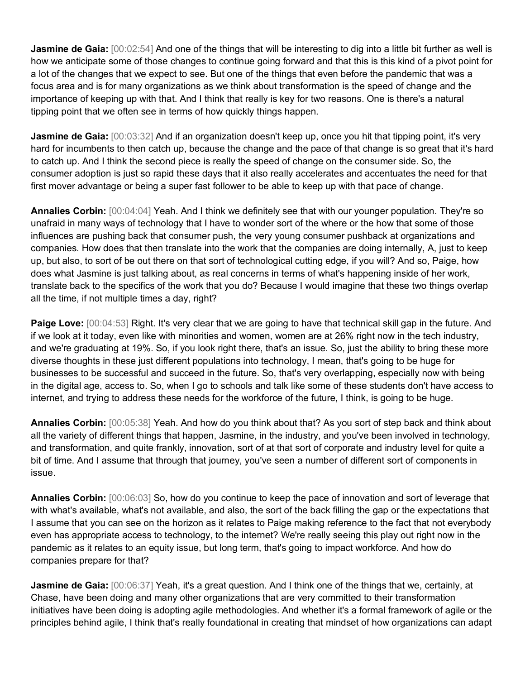**Jasmine de Gaia:** [00:02:54] And one of the things that will be interesting to dig into a little bit further as well is how we anticipate some of those changes to continue going forward and that this is this kind of a pivot point for a lot of the changes that we expect to see. But one of the things that even before the pandemic that was a focus area and is for many organizations as we think about transformation is the speed of change and the importance of keeping up with that. And I think that really is key for two reasons. One is there's a natural tipping point that we often see in terms of how quickly things happen.

**Jasmine de Gaia:** [00:03:32] And if an organization doesn't keep up, once you hit that tipping point, it's very hard for incumbents to then catch up, because the change and the pace of that change is so great that it's hard to catch up. And I think the second piece is really the speed of change on the consumer side. So, the consumer adoption is just so rapid these days that it also really accelerates and accentuates the need for that first mover advantage or being a super fast follower to be able to keep up with that pace of change.

**Annalies Corbin:** [00:04:04] Yeah. And I think we definitely see that with our younger population. They're so unafraid in many ways of technology that I have to wonder sort of the where or the how that some of those influences are pushing back that consumer push, the very young consumer pushback at organizations and companies. How does that then translate into the work that the companies are doing internally, A, just to keep up, but also, to sort of be out there on that sort of technological cutting edge, if you will? And so, Paige, how does what Jasmine is just talking about, as real concerns in terms of what's happening inside of her work, translate back to the specifics of the work that you do? Because I would imagine that these two things overlap all the time, if not multiple times a day, right?

**Paige Love:** [00:04:53] Right. It's very clear that we are going to have that technical skill gap in the future. And if we look at it today, even like with minorities and women, women are at 26% right now in the tech industry, and we're graduating at 19%. So, if you look right there, that's an issue. So, just the ability to bring these more diverse thoughts in these just different populations into technology, I mean, that's going to be huge for businesses to be successful and succeed in the future. So, that's very overlapping, especially now with being in the digital age, access to. So, when I go to schools and talk like some of these students don't have access to internet, and trying to address these needs for the workforce of the future, I think, is going to be huge.

**Annalies Corbin:** [00:05:38] Yeah. And how do you think about that? As you sort of step back and think about all the variety of different things that happen, Jasmine, in the industry, and you've been involved in technology, and transformation, and quite frankly, innovation, sort of at that sort of corporate and industry level for quite a bit of time. And I assume that through that journey, you've seen a number of different sort of components in issue.

**Annalies Corbin:** [00:06:03] So, how do you continue to keep the pace of innovation and sort of leverage that with what's available, what's not available, and also, the sort of the back filling the gap or the expectations that I assume that you can see on the horizon as it relates to Paige making reference to the fact that not everybody even has appropriate access to technology, to the internet? We're really seeing this play out right now in the pandemic as it relates to an equity issue, but long term, that's going to impact workforce. And how do companies prepare for that?

**Jasmine de Gaia:** [00:06:37] Yeah, it's a great question. And I think one of the things that we, certainly, at Chase, have been doing and many other organizations that are very committed to their transformation initiatives have been doing is adopting agile methodologies. And whether it's a formal framework of agile or the principles behind agile, I think that's really foundational in creating that mindset of how organizations can adapt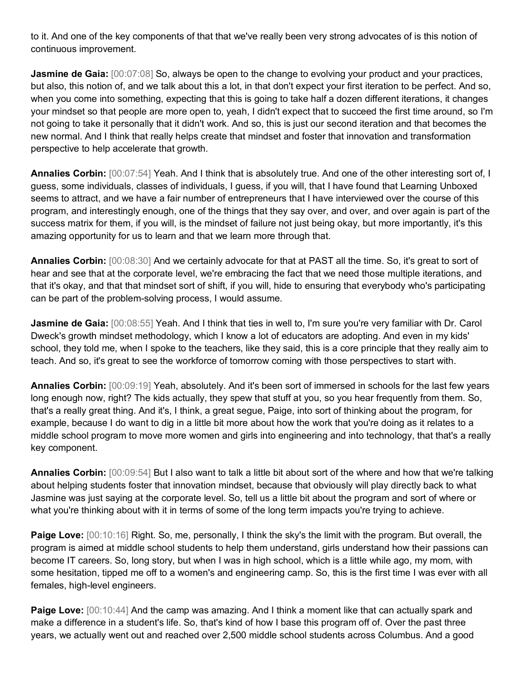to it. And one of the key components of that that we've really been very strong advocates of is this notion of continuous improvement.

**Jasmine de Gaia:**  $[00:07:08]$  So, always be open to the change to evolving your product and your practices, but also, this notion of, and we talk about this a lot, in that don't expect your first iteration to be perfect. And so, when you come into something, expecting that this is going to take half a dozen different iterations, it changes your mindset so that people are more open to, yeah, I didn't expect that to succeed the first time around, so I'm not going to take it personally that it didn't work. And so, this is just our second iteration and that becomes the new normal. And I think that really helps create that mindset and foster that innovation and transformation perspective to help accelerate that growth.

**Annalies Corbin:** [00:07:54] Yeah. And I think that is absolutely true. And one of the other interesting sort of, I guess, some individuals, classes of individuals, I guess, if you will, that I have found that Learning Unboxed seems to attract, and we have a fair number of entrepreneurs that I have interviewed over the course of this program, and interestingly enough, one of the things that they say over, and over, and over again is part of the success matrix for them, if you will, is the mindset of failure not just being okay, but more importantly, it's this amazing opportunity for us to learn and that we learn more through that.

**Annalies Corbin:** [00:08:30] And we certainly advocate for that at PAST all the time. So, it's great to sort of hear and see that at the corporate level, we're embracing the fact that we need those multiple iterations, and that it's okay, and that that mindset sort of shift, if you will, hide to ensuring that everybody who's participating can be part of the problem-solving process, I would assume.

**Jasmine de Gaia:** [00:08:55] Yeah. And I think that ties in well to, I'm sure you're very familiar with Dr. Carol Dweck's growth mindset methodology, which I know a lot of educators are adopting. And even in my kids' school, they told me, when I spoke to the teachers, like they said, this is a core principle that they really aim to teach. And so, it's great to see the workforce of tomorrow coming with those perspectives to start with.

**Annalies Corbin:** [00:09:19] Yeah, absolutely. And it's been sort of immersed in schools for the last few years long enough now, right? The kids actually, they spew that stuff at you, so you hear frequently from them. So, that's a really great thing. And it's, I think, a great segue, Paige, into sort of thinking about the program, for example, because I do want to dig in a little bit more about how the work that you're doing as it relates to a middle school program to move more women and girls into engineering and into technology, that that's a really key component.

**Annalies Corbin:** [00:09:54] But I also want to talk a little bit about sort of the where and how that we're talking about helping students foster that innovation mindset, because that obviously will play directly back to what Jasmine was just saying at the corporate level. So, tell us a little bit about the program and sort of where or what you're thinking about with it in terms of some of the long term impacts you're trying to achieve.

**Paige Love:**  $[00:10:16]$  Right. So, me, personally, I think the sky's the limit with the program. But overall, the program is aimed at middle school students to help them understand, girls understand how their passions can become IT careers. So, long story, but when I was in high school, which is a little while ago, my mom, with some hesitation, tipped me off to a women's and engineering camp. So, this is the first time I was ever with all females, high-level engineers.

**Paige Love:**  $[00:10:44]$  And the camp was amazing. And I think a moment like that can actually spark and make a difference in a student's life. So, that's kind of how I base this program off of. Over the past three years, we actually went out and reached over 2,500 middle school students across Columbus. And a good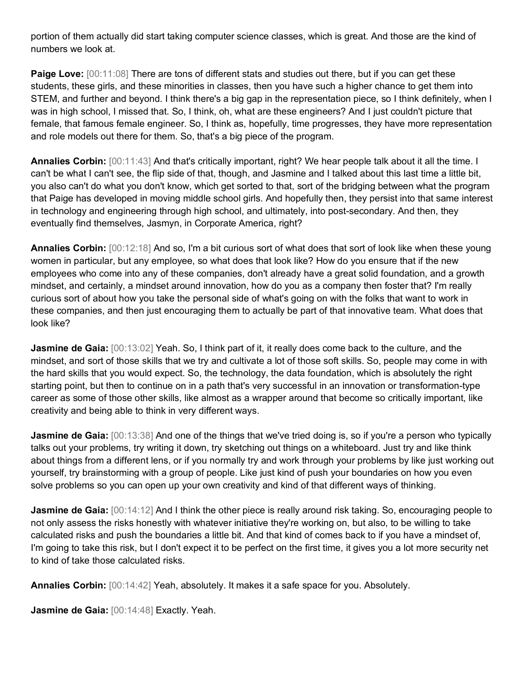portion of them actually did start taking computer science classes, which is great. And those are the kind of numbers we look at.

**Paige Love:**  $[00:11:08]$  There are tons of different stats and studies out there, but if you can get these students, these girls, and these minorities in classes, then you have such a higher chance to get them into STEM, and further and beyond. I think there's a big gap in the representation piece, so I think definitely, when I was in high school, I missed that. So, I think, oh, what are these engineers? And I just couldn't picture that female, that famous female engineer. So, I think as, hopefully, time progresses, they have more representation and role models out there for them. So, that's a big piece of the program.

**Annalies Corbin:** [00:11:43] And that's critically important, right? We hear people talk about it all the time. I can't be what I can't see, the flip side of that, though, and Jasmine and I talked about this last time a little bit, you also can't do what you don't know, which get sorted to that, sort of the bridging between what the program that Paige has developed in moving middle school girls. And hopefully then, they persist into that same interest in technology and engineering through high school, and ultimately, into post-secondary. And then, they eventually find themselves, Jasmyn, in Corporate America, right?

**Annalies Corbin:** [00:12:18] And so, I'm a bit curious sort of what does that sort of look like when these young women in particular, but any employee, so what does that look like? How do you ensure that if the new employees who come into any of these companies, don't already have a great solid foundation, and a growth mindset, and certainly, a mindset around innovation, how do you as a company then foster that? I'm really curious sort of about how you take the personal side of what's going on with the folks that want to work in these companies, and then just encouraging them to actually be part of that innovative team. What does that look like?

**Jasmine de Gaia:** [00:13:02] Yeah. So, I think part of it, it really does come back to the culture, and the mindset, and sort of those skills that we try and cultivate a lot of those soft skills. So, people may come in with the hard skills that you would expect. So, the technology, the data foundation, which is absolutely the right starting point, but then to continue on in a path that's very successful in an innovation or transformation-type career as some of those other skills, like almost as a wrapper around that become so critically important, like creativity and being able to think in very different ways.

**Jasmine de Gaia:** [00:13:38] And one of the things that we've tried doing is, so if you're a person who typically talks out your problems, try writing it down, try sketching out things on a whiteboard. Just try and like think about things from a different lens, or if you normally try and work through your problems by like just working out yourself, try brainstorming with a group of people. Like just kind of push your boundaries on how you even solve problems so you can open up your own creativity and kind of that different ways of thinking.

**Jasmine de Gaia:** [00:14:12] And I think the other piece is really around risk taking. So, encouraging people to not only assess the risks honestly with whatever initiative they're working on, but also, to be willing to take calculated risks and push the boundaries a little bit. And that kind of comes back to if you have a mindset of, I'm going to take this risk, but I don't expect it to be perfect on the first time, it gives you a lot more security net to kind of take those calculated risks.

**Annalies Corbin:** [00:14:42] Yeah, absolutely. It makes it a safe space for you. Absolutely.

**Jasmine de Gaia:** [00:14:48] Exactly. Yeah.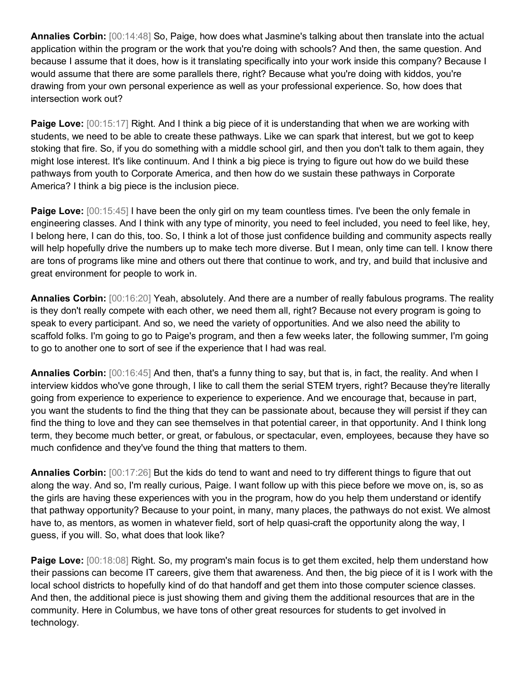**Annalies Corbin:** [00:14:48] So, Paige, how does what Jasmine's talking about then translate into the actual application within the program or the work that you're doing with schools? And then, the same question. And because I assume that it does, how is it translating specifically into your work inside this company? Because I would assume that there are some parallels there, right? Because what you're doing with kiddos, you're drawing from your own personal experience as well as your professional experience. So, how does that intersection work out?

**Paige Love:**  $[00:15:17]$  Right. And I think a big piece of it is understanding that when we are working with students, we need to be able to create these pathways. Like we can spark that interest, but we got to keep stoking that fire. So, if you do something with a middle school girl, and then you don't talk to them again, they might lose interest. It's like continuum. And I think a big piece is trying to figure out how do we build these pathways from youth to Corporate America, and then how do we sustain these pathways in Corporate America? I think a big piece is the inclusion piece.

**Paige Love:**  $[00:15:45]$  I have been the only girl on my team countless times. I've been the only female in engineering classes. And I think with any type of minority, you need to feel included, you need to feel like, hey, I belong here, I can do this, too. So, I think a lot of those just confidence building and community aspects really will help hopefully drive the numbers up to make tech more diverse. But I mean, only time can tell. I know there are tons of programs like mine and others out there that continue to work, and try, and build that inclusive and great environment for people to work in.

**Annalies Corbin:** [00:16:20] Yeah, absolutely. And there are a number of really fabulous programs. The reality is they don't really compete with each other, we need them all, right? Because not every program is going to speak to every participant. And so, we need the variety of opportunities. And we also need the ability to scaffold folks. I'm going to go to Paige's program, and then a few weeks later, the following summer, I'm going to go to another one to sort of see if the experience that I had was real.

**Annalies Corbin:** [00:16:45] And then, that's a funny thing to say, but that is, in fact, the reality. And when I interview kiddos who've gone through, I like to call them the serial STEM tryers, right? Because they're literally going from experience to experience to experience to experience. And we encourage that, because in part, you want the students to find the thing that they can be passionate about, because they will persist if they can find the thing to love and they can see themselves in that potential career, in that opportunity. And I think long term, they become much better, or great, or fabulous, or spectacular, even, employees, because they have so much confidence and they've found the thing that matters to them.

**Annalies Corbin:** [00:17:26] But the kids do tend to want and need to try different things to figure that out along the way. And so, I'm really curious, Paige. I want follow up with this piece before we move on, is, so as the girls are having these experiences with you in the program, how do you help them understand or identify that pathway opportunity? Because to your point, in many, many places, the pathways do not exist. We almost have to, as mentors, as women in whatever field, sort of help quasi-craft the opportunity along the way, I guess, if you will. So, what does that look like?

**Paige Love:**  $[00:18:08]$  Right. So, my program's main focus is to get them excited, help them understand how their passions can become IT careers, give them that awareness. And then, the big piece of it is I work with the local school districts to hopefully kind of do that handoff and get them into those computer science classes. And then, the additional piece is just showing them and giving them the additional resources that are in the community. Here in Columbus, we have tons of other great resources for students to get involved in technology.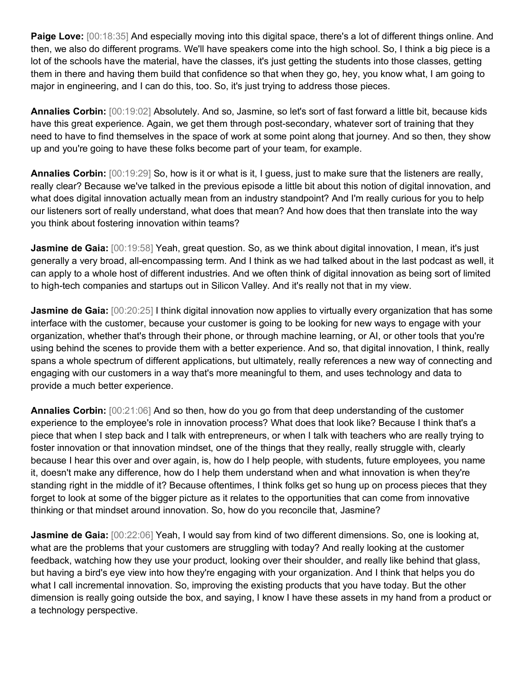**Paige Love:** [00:18:35] And especially moving into this digital space, there's a lot of different things online. And then, we also do different programs. We'll have speakers come into the high school. So, I think a big piece is a lot of the schools have the material, have the classes, it's just getting the students into those classes, getting them in there and having them build that confidence so that when they go, hey, you know what, I am going to major in engineering, and I can do this, too. So, it's just trying to address those pieces.

**Annalies Corbin:** [00:19:02] Absolutely. And so, Jasmine, so let's sort of fast forward a little bit, because kids have this great experience. Again, we get them through post-secondary, whatever sort of training that they need to have to find themselves in the space of work at some point along that journey. And so then, they show up and you're going to have these folks become part of your team, for example.

**Annalies Corbin:** [00:19:29] So, how is it or what is it, I guess, just to make sure that the listeners are really, really clear? Because we've talked in the previous episode a little bit about this notion of digital innovation, and what does digital innovation actually mean from an industry standpoint? And I'm really curious for you to help our listeners sort of really understand, what does that mean? And how does that then translate into the way you think about fostering innovation within teams?

**Jasmine de Gaia:** [00:19:58] Yeah, great question. So, as we think about digital innovation, I mean, it's just generally a very broad, all-encompassing term. And I think as we had talked about in the last podcast as well, it can apply to a whole host of different industries. And we often think of digital innovation as being sort of limited to high-tech companies and startups out in Silicon Valley. And it's really not that in my view.

**Jasmine de Gaia:**  $[00:20:25]$  I think digital innovation now applies to virtually every organization that has some interface with the customer, because your customer is going to be looking for new ways to engage with your organization, whether that's through their phone, or through machine learning, or AI, or other tools that you're using behind the scenes to provide them with a better experience. And so, that digital innovation, I think, really spans a whole spectrum of different applications, but ultimately, really references a new way of connecting and engaging with our customers in a way that's more meaningful to them, and uses technology and data to provide a much better experience.

**Annalies Corbin:** [00:21:06] And so then, how do you go from that deep understanding of the customer experience to the employee's role in innovation process? What does that look like? Because I think that's a piece that when I step back and I talk with entrepreneurs, or when I talk with teachers who are really trying to foster innovation or that innovation mindset, one of the things that they really, really struggle with, clearly because I hear this over and over again, is, how do I help people, with students, future employees, you name it, doesn't make any difference, how do I help them understand when and what innovation is when they're standing right in the middle of it? Because oftentimes, I think folks get so hung up on process pieces that they forget to look at some of the bigger picture as it relates to the opportunities that can come from innovative thinking or that mindset around innovation. So, how do you reconcile that, Jasmine?

**Jasmine de Gaia:** [00:22:06] Yeah, I would say from kind of two different dimensions. So, one is looking at, what are the problems that your customers are struggling with today? And really looking at the customer feedback, watching how they use your product, looking over their shoulder, and really like behind that glass, but having a bird's eye view into how they're engaging with your organization. And I think that helps you do what I call incremental innovation. So, improving the existing products that you have today. But the other dimension is really going outside the box, and saying, I know I have these assets in my hand from a product or a technology perspective.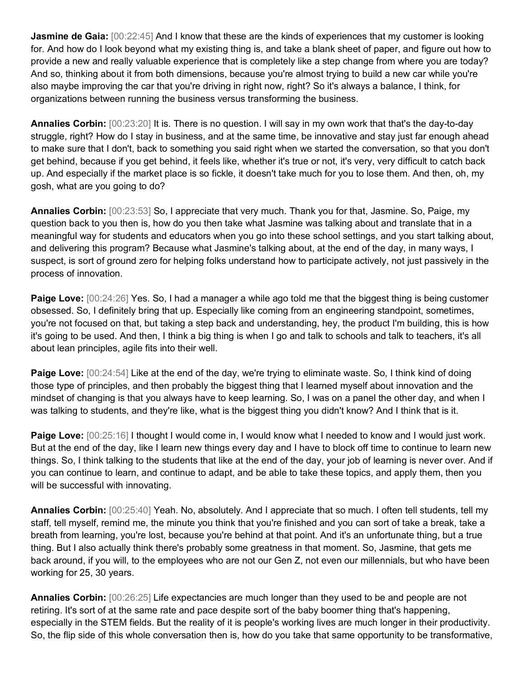**Jasmine de Gaia:**  $[00:22:45]$  And I know that these are the kinds of experiences that my customer is looking for. And how do I look beyond what my existing thing is, and take a blank sheet of paper, and figure out how to provide a new and really valuable experience that is completely like a step change from where you are today? And so, thinking about it from both dimensions, because you're almost trying to build a new car while you're also maybe improving the car that you're driving in right now, right? So it's always a balance, I think, for organizations between running the business versus transforming the business.

**Annalies Corbin:** [00:23:20] It is. There is no question. I will say in my own work that that's the day-to-day struggle, right? How do I stay in business, and at the same time, be innovative and stay just far enough ahead to make sure that I don't, back to something you said right when we started the conversation, so that you don't get behind, because if you get behind, it feels like, whether it's true or not, it's very, very difficult to catch back up. And especially if the market place is so fickle, it doesn't take much for you to lose them. And then, oh, my gosh, what are you going to do?

**Annalies Corbin:** [00:23:53] So, I appreciate that very much. Thank you for that, Jasmine. So, Paige, my question back to you then is, how do you then take what Jasmine was talking about and translate that in a meaningful way for students and educators when you go into these school settings, and you start talking about, and delivering this program? Because what Jasmine's talking about, at the end of the day, in many ways, I suspect, is sort of ground zero for helping folks understand how to participate actively, not just passively in the process of innovation.

**Paige Love:**  $[00:24:26]$  Yes. So, I had a manager a while ago told me that the biggest thing is being customer obsessed. So, I definitely bring that up. Especially like coming from an engineering standpoint, sometimes, you're not focused on that, but taking a step back and understanding, hey, the product I'm building, this is how it's going to be used. And then, I think a big thing is when I go and talk to schools and talk to teachers, it's all about lean principles, agile fits into their well.

**Paige Love:**  $[00:24:54]$  Like at the end of the day, we're trying to eliminate waste. So, I think kind of doing those type of principles, and then probably the biggest thing that I learned myself about innovation and the mindset of changing is that you always have to keep learning. So, I was on a panel the other day, and when I was talking to students, and they're like, what is the biggest thing you didn't know? And I think that is it.

**Paige Love:**  $[00:25:16]$  I thought I would come in, I would know what I needed to know and I would just work. But at the end of the day, like I learn new things every day and I have to block off time to continue to learn new things. So, I think talking to the students that like at the end of the day, your job of learning is never over. And if you can continue to learn, and continue to adapt, and be able to take these topics, and apply them, then you will be successful with innovating.

**Annalies Corbin:** [00:25:40] Yeah. No, absolutely. And I appreciate that so much. I often tell students, tell my staff, tell myself, remind me, the minute you think that you're finished and you can sort of take a break, take a breath from learning, you're lost, because you're behind at that point. And it's an unfortunate thing, but a true thing. But I also actually think there's probably some greatness in that moment. So, Jasmine, that gets me back around, if you will, to the employees who are not our Gen Z, not even our millennials, but who have been working for 25, 30 years.

**Annalies Corbin:** [00:26:25] Life expectancies are much longer than they used to be and people are not retiring. It's sort of at the same rate and pace despite sort of the baby boomer thing that's happening, especially in the STEM fields. But the reality of it is people's working lives are much longer in their productivity. So, the flip side of this whole conversation then is, how do you take that same opportunity to be transformative,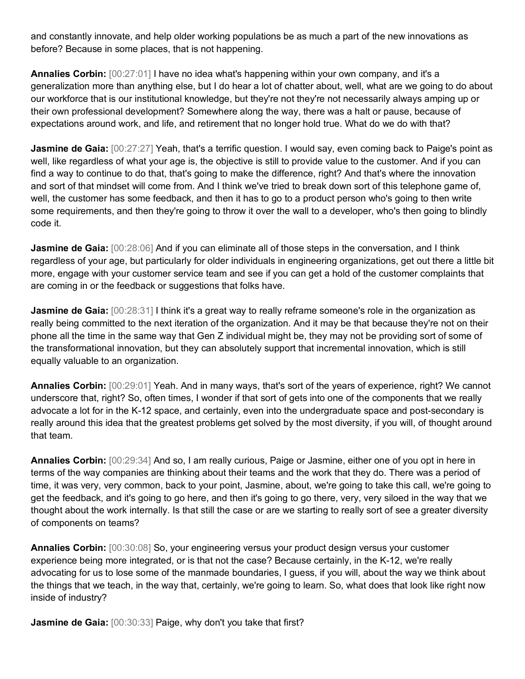and constantly innovate, and help older working populations be as much a part of the new innovations as before? Because in some places, that is not happening.

**Annalies Corbin:** [00:27:01] I have no idea what's happening within your own company, and it's a generalization more than anything else, but I do hear a lot of chatter about, well, what are we going to do about our workforce that is our institutional knowledge, but they're not they're not necessarily always amping up or their own professional development? Somewhere along the way, there was a halt or pause, because of expectations around work, and life, and retirement that no longer hold true. What do we do with that?

**Jasmine de Gaia:** [00:27:27] Yeah, that's a terrific question. I would say, even coming back to Paige's point as well, like regardless of what your age is, the objective is still to provide value to the customer. And if you can find a way to continue to do that, that's going to make the difference, right? And that's where the innovation and sort of that mindset will come from. And I think we've tried to break down sort of this telephone game of, well, the customer has some feedback, and then it has to go to a product person who's going to then write some requirements, and then they're going to throw it over the wall to a developer, who's then going to blindly code it.

**Jasmine de Gaia:**  $[00:28:06]$  And if you can eliminate all of those steps in the conversation, and I think regardless of your age, but particularly for older individuals in engineering organizations, get out there a little bit more, engage with your customer service team and see if you can get a hold of the customer complaints that are coming in or the feedback or suggestions that folks have.

**Jasmine de Gaia:**  $[00:28:31]$  I think it's a great way to really reframe someone's role in the organization as really being committed to the next iteration of the organization. And it may be that because they're not on their phone all the time in the same way that Gen Z individual might be, they may not be providing sort of some of the transformational innovation, but they can absolutely support that incremental innovation, which is still equally valuable to an organization.

**Annalies Corbin:** [00:29:01] Yeah. And in many ways, that's sort of the years of experience, right? We cannot underscore that, right? So, often times, I wonder if that sort of gets into one of the components that we really advocate a lot for in the K-12 space, and certainly, even into the undergraduate space and post-secondary is really around this idea that the greatest problems get solved by the most diversity, if you will, of thought around that team.

**Annalies Corbin:** [00:29:34] And so, I am really curious, Paige or Jasmine, either one of you opt in here in terms of the way companies are thinking about their teams and the work that they do. There was a period of time, it was very, very common, back to your point, Jasmine, about, we're going to take this call, we're going to get the feedback, and it's going to go here, and then it's going to go there, very, very siloed in the way that we thought about the work internally. Is that still the case or are we starting to really sort of see a greater diversity of components on teams?

**Annalies Corbin:** [00:30:08] So, your engineering versus your product design versus your customer experience being more integrated, or is that not the case? Because certainly, in the K-12, we're really advocating for us to lose some of the manmade boundaries, I guess, if you will, about the way we think about the things that we teach, in the way that, certainly, we're going to learn. So, what does that look like right now inside of industry?

Jasmine de Gaia: [00:30:33] Paige, why don't you take that first?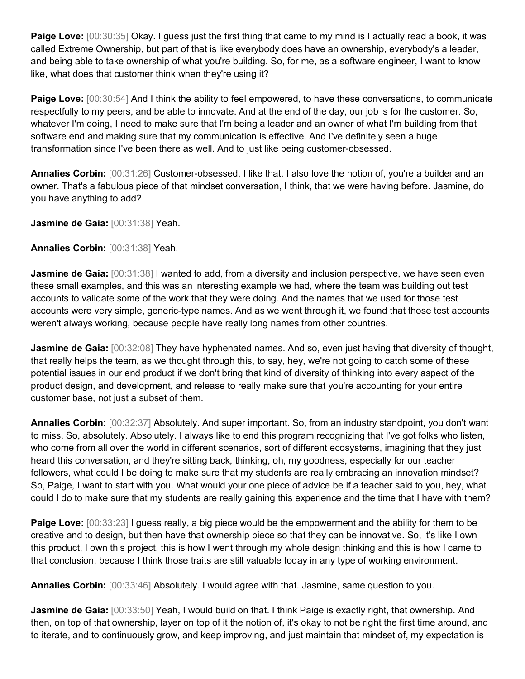**Paige Love:** [00:30:35] Okay. I guess just the first thing that came to my mind is I actually read a book, it was called Extreme Ownership, but part of that is like everybody does have an ownership, everybody's a leader, and being able to take ownership of what you're building. So, for me, as a software engineer, I want to know like, what does that customer think when they're using it?

**Paige Love:** [00:30:54] And I think the ability to feel empowered, to have these conversations, to communicate respectfully to my peers, and be able to innovate. And at the end of the day, our job is for the customer. So, whatever I'm doing, I need to make sure that I'm being a leader and an owner of what I'm building from that software end and making sure that my communication is effective. And I've definitely seen a huge transformation since I've been there as well. And to just like being customer-obsessed.

**Annalies Corbin:** [00:31:26] Customer-obsessed, I like that. I also love the notion of, you're a builder and an owner. That's a fabulous piece of that mindset conversation, I think, that we were having before. Jasmine, do you have anything to add?

**Jasmine de Gaia:** [00:31:38] Yeah.

**Annalies Corbin:** [00:31:38] Yeah.

**Jasmine de Gaia:** [00:31:38] I wanted to add, from a diversity and inclusion perspective, we have seen even these small examples, and this was an interesting example we had, where the team was building out test accounts to validate some of the work that they were doing. And the names that we used for those test accounts were very simple, generic-type names. And as we went through it, we found that those test accounts weren't always working, because people have really long names from other countries.

**Jasmine de Gaia:** [00:32:08] They have hyphenated names. And so, even just having that diversity of thought, that really helps the team, as we thought through this, to say, hey, we're not going to catch some of these potential issues in our end product if we don't bring that kind of diversity of thinking into every aspect of the product design, and development, and release to really make sure that you're accounting for your entire customer base, not just a subset of them.

**Annalies Corbin:** [00:32:37] Absolutely. And super important. So, from an industry standpoint, you don't want to miss. So, absolutely. Absolutely. I always like to end this program recognizing that I've got folks who listen, who come from all over the world in different scenarios, sort of different ecosystems, imagining that they just heard this conversation, and they're sitting back, thinking, oh, my goodness, especially for our teacher followers, what could I be doing to make sure that my students are really embracing an innovation mindset? So, Paige, I want to start with you. What would your one piece of advice be if a teacher said to you, hey, what could I do to make sure that my students are really gaining this experience and the time that I have with them?

**Paige Love:**  $[00:33:23]$  I guess really, a big piece would be the empowerment and the ability for them to be creative and to design, but then have that ownership piece so that they can be innovative. So, it's like I own this product, I own this project, this is how I went through my whole design thinking and this is how I came to that conclusion, because I think those traits are still valuable today in any type of working environment.

**Annalies Corbin:** [00:33:46] Absolutely. I would agree with that. Jasmine, same question to you.

**Jasmine de Gaia:** [00:33:50] Yeah, I would build on that. I think Paige is exactly right, that ownership. And then, on top of that ownership, layer on top of it the notion of, it's okay to not be right the first time around, and to iterate, and to continuously grow, and keep improving, and just maintain that mindset of, my expectation is